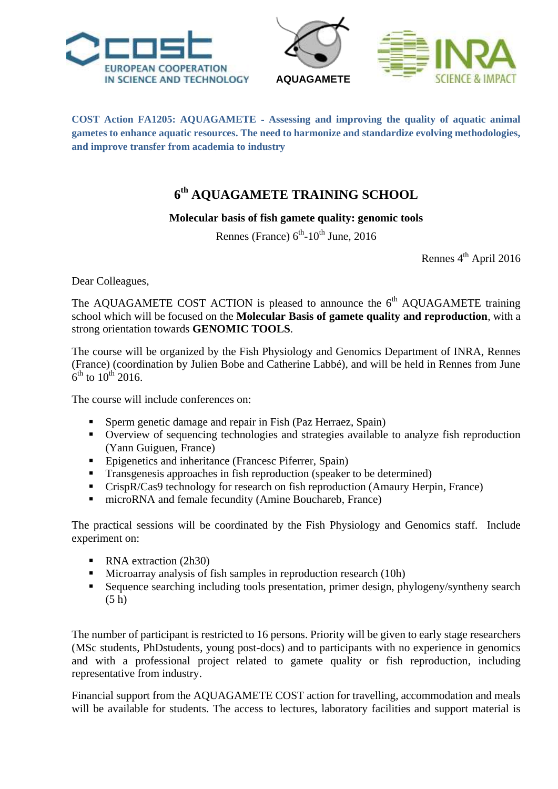





**COST Action FA1205: AQUAGAMETE** ‐ **Assessing and improving the quality of aquatic animal gametes to enhance aquatic resources. The need to harmonize and standardize evolving methodologies, and improve transfer from academia to industry**

## **6 th AQUAGAMETE TRAINING SCHOOL**

## **Molecular basis of fish gamete quality: genomic tools**

Rennes (France)  $6^{th}$ -10<sup>th</sup> June, 2016

Rennes 4<sup>th</sup> April 2016

Dear Colleagues,

The AQUAGAMETE COST ACTION is pleased to announce the  $6<sup>th</sup>$  AQUAGAMETE training school which will be focused on the **Molecular Basis of gamete quality and reproduction**, with a strong orientation towards **GENOMIC TOOLS**.

The course will be organized by the Fish Physiology and Genomics Department of INRA, Rennes (France) (coordination by Julien Bobe and Catherine Labbé), and will be held in Rennes from June  $6^{\text{th}}$  to  $10^{\text{th}}$  2016.

The course will include conferences on:

- Sperm genetic damage and repair in Fish (Paz Herraez, Spain)
- Overview of sequencing technologies and strategies available to analyze fish reproduction (Yann Guiguen, France)
- Epigenetics and inheritance (Francesc Piferrer, Spain)
- Transgenesis approaches in fish reproduction (speaker to be determined)
- CrispR/Cas9 technology for research on fish reproduction (Amaury Herpin, France)
- microRNA and female fecundity (Amine Bouchareb, France)

The practical sessions will be coordinated by the Fish Physiology and Genomics staff. Include experiment on:

- RNA extraction (2h30)
- Microarray analysis of fish samples in reproduction research (10h)
- Sequence searching including tools presentation, primer design, phylogeny/syntheny search (5 h)

The number of participant is restricted to 16 persons. Priority will be given to early stage researchers (MSc students, PhDstudents, young post-docs) and to participants with no experience in genomics and with a professional project related to gamete quality or fish reproduction, including representative from industry.

Financial support from the AQUAGAMETE COST action for travelling, accommodation and meals will be available for students. The access to lectures, laboratory facilities and support material is